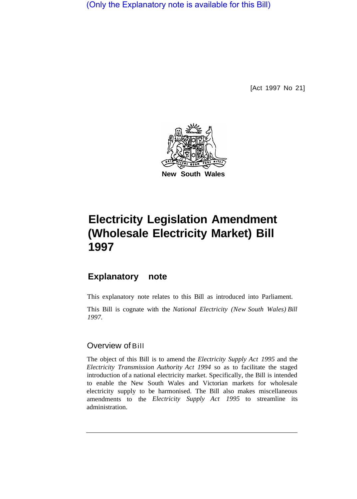(Only the Explanatory note is available for this Bill)

[Act 1997 No 21]



# **Electricity Legislation Amendment (Wholesale Electricity Market) Bill 1997**

## **Explanatory note**

This explanatory note relates to this BiIl as introduced into Parliament.

This Bill is cognate with the *National Electricity (New South Wales) Bill 1997.* 

## Overview of Bill

The object of this Bill is to amend the *Electricity Supply Act 1995* and the *Electricity Transmission Authority Act 1994* so as to facilitate the staged introduction of a national electricity market. Specifically, the Bill is intended to enable the New South Wales and Victorian markets for wholesale electricity supply to be harmonised. The Bill also makes miscellaneous amendments to the *Electricity Supply Act 1995* to streamline its administration.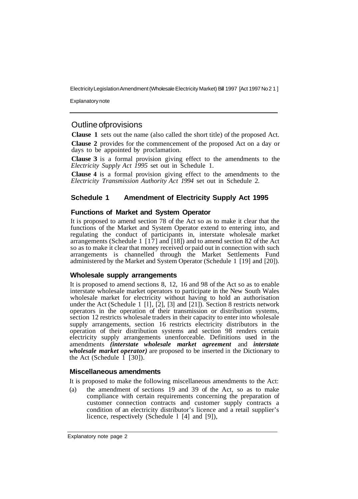Electricity Legislation Amendment (Wholesale Electricity Market) Bill 1997 [Act 1997 No 21]

Explanatory note

### Outline of provisions

**Clause 1** sets out the name (also called the short title) of the proposed Act.

**Clause 2** provides for the commencement of the proposed Act on a day or days to be appointed by proclamation.

**Clause 3** is a formal provision giving effect to the amendments to the *Electricity Supply Act 1995* set out in Schedule 1.

**Clause 4** is a formal provision giving effect to the amendments to the *Electricity Transmission Authority Act 1994* set out in Schedule 2.

#### **Schedule 1 Amendment of Electricity Supply Act 1995**

#### **Functions of Market and System Operator**

It is proposed to amend section 78 of the Act so as to make it clear that the functions of the Market and System Operator extend to entering into, and regulating the conduct of participants in, interstate wholesale market arrangements (Schedule 1 [ 17] and [18]) and to amend section 82 of the Act so as to make it clear that money received or paid out in connection with such arrangements is channelled through the Market Settlements Fund administered by the Market and System Operator (Schedule 1 [19] and [20]).

#### **Wholesale supply arrangements**

It is proposed to amend sections 8, 12, 16 and 98 of the Act so as to enable interstate wholesale market operators to participate in the New South Wales wholesale market for electricity without having to hold an authorisation under the Act (Schedule 1 [1],  $[2]$ ,  $[3]$  and  $[21]$ ). Section 8 restricts network operators in the operation of their transmission or distribution systems, section 12 restricts wholesale traders in their capacity to enter into wholesale supply arrangements, section 16 restricts electricity distributors in the operation of their distribution systems and section 98 renders certain electricity supply arrangements unenforceable. Definitions used in the amendments *(interstate wholesale market agreement* and *interstate wholesale market operator)* are proposed to be inserted in the Dictionary to the Act (Schedule 1 [30]).

#### **Miscellaneous amendments**

It is proposed to make the following miscellaneous amendments to the Act:

(a) the amendment of sections 19 and 39 of the Act, so as to make compliance with certain requirements concerning the preparation of customer connection contracts and customer supply contracts a condition of an electricity distributor's licence and a retail supplier's licence, respectively (Schedule l [4] and [9]),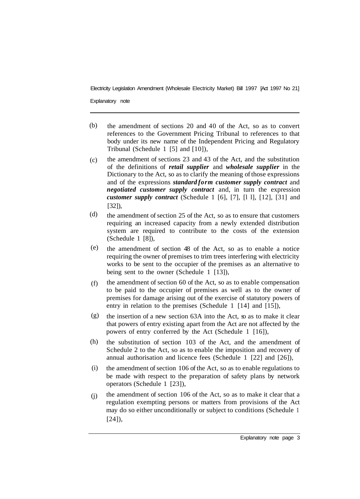Electricity Legislation Amendment (Wholesale Electricity Market) Bill 1997 [Act 1997 No 21]

Explanatory note

- the amendment of sections 20 and 40 of the Act, so as to convert references to the Government Pricing Tribunal to references to that body under its new name of the Independent Pricing and Regulatory Tribunal (Schedule 1 [5] and [10]), (b)
- the amendment of sections 23 and 43 of the Act, and the substitution of the definitions of *retail supplier* and *wholesale supplier* in the Dictionary to the Act, so as to clarify the meaning of those expressions and of the expressions *standard form customer supply contract* and *negotiated customer supply contract* and, in turn the expression *customer supply contract* (Schedule 1 [6], [7], [l l], [12], [31] and [32]),  $(c)$
- the amendment of section 25 of the Act, so as to ensure that customers requiring an increased capacity from a newly extended distribution system are required to contribute to the costs of the extension (Schedule 1 [8]), (d)
- the amendment of section 48 of the Act, so as to enable a notice requiring the owner of premises to trim trees interfering with electricity works to be sent to the occupier of the premises as an alternative to being sent to the owner (Schedule 1 [13]), (e)
- the amendment of section 60 of the Act, so as to enable compensation to be paid to the occupier of premises as well as to the owner of premises for damage arising out of the exercise of statutory powers of entry in relation to the premises (Schedule 1 [14] and [15]), (f)
- the insertion of a new section 63A into the Act, so as to make it clear that powers of entry existing apart from the Act are not affected by the powers of entry conferred by the Act (Schedule 1 [16]), (g)
- the substitution of section 103 of the Act, and the amendment of Schedule 2 to the Act, so as to enable the imposition and recovery of annual authorisation and licence fees (Schedule 1 [22] and [26]), (h)
- the amendment of section 106 of the Act, so as to enable regulations to be made with respect to the preparation of safety plans by network operators (Schedule 1 [23]), (i)
- the amendment of section 106 of the Act, so as to make it clear that a regulation exempting persons or matters from provisions of the Act may do so either unconditionally or subject to conditions (Schedule 1 [24]), (j)